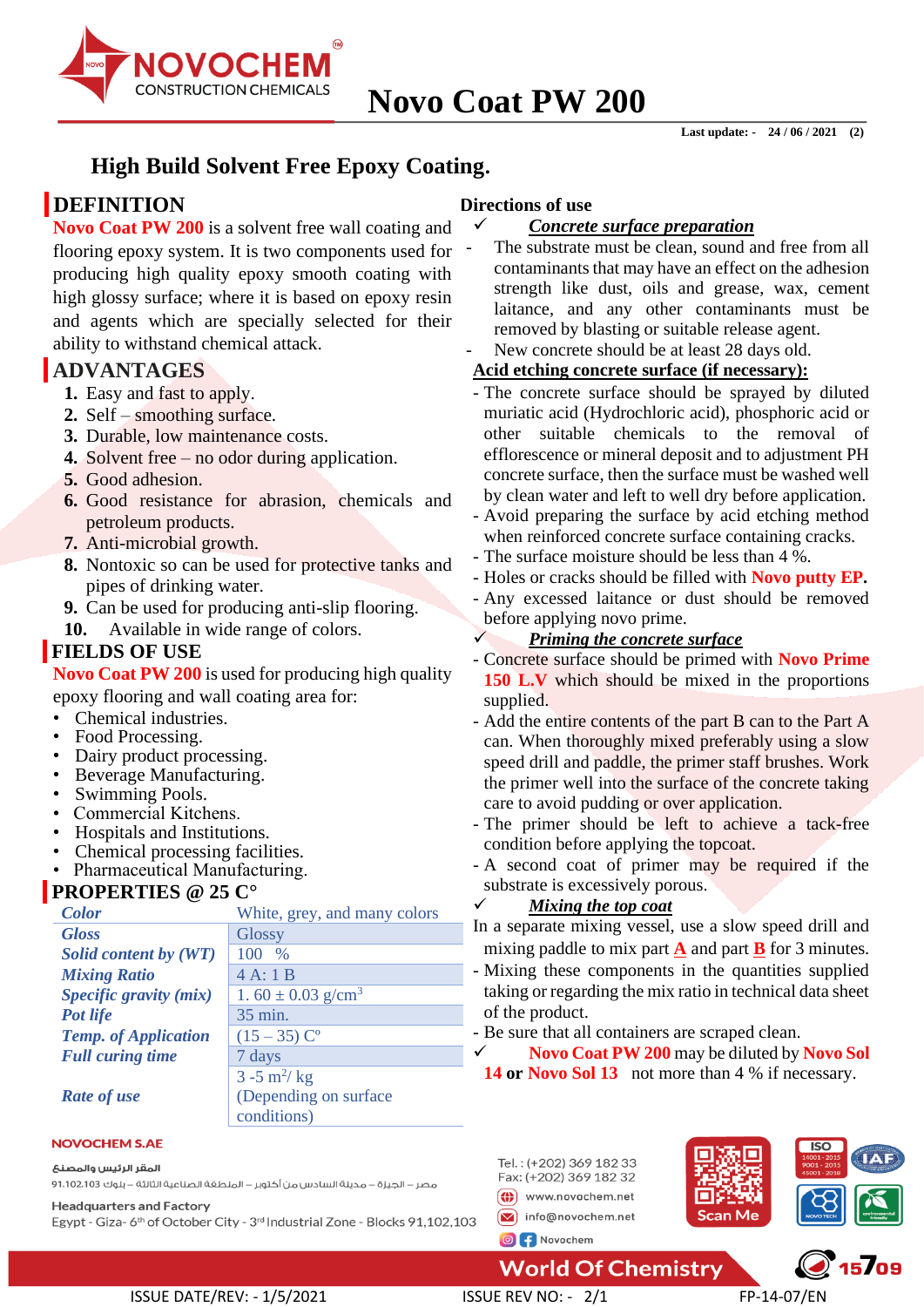

# **High Build Solvent Free Epoxy Coating.**

# **DEFINITION**

**Novo Coat PW 200** is a solvent free wall coating and flooring epoxy system. It is two components used for producing high quality epoxy smooth coating with high glossy surface; where it is based on epoxy resin and agents which are specially selected for their ability to withstand chemical attack.

## **ADVANTAGES**

- **1.** Easy and fast to apply.
- **2.** Self smoothing surface.
- **3.** Durable, low maintenance costs.
- **4.** Solvent free no odor during application.
- **5.** Good adhesion.
- **6.** Good resistance for abrasion, chemicals and petroleum products.
- **7.** Anti-microbial growth.
- **8.** Nontoxic so can be used for protective tanks and pipes of drinking water.
- **9.** Can be used for producing anti-slip flooring.
- **10.** Available in wide range of colors.

## **FIELDS OF USE**

**Novo Coat PW 200** is used for producing high quality epoxy flooring and wall coating area for:

- Chemical industries.
- Food Processing.
- Dairy product processing.
- Beverage Manufacturing.
- Swimming Pools.
- Commercial Kitchens.
- Hospitals and Institutions.
- Chemical processing facilities.
- Pharmaceutical Manufacturing.

## **PROPERTIES @ 25 C°**

| <b>Color</b>                | White, grey, and many colors      |  |
|-----------------------------|-----------------------------------|--|
| <b>Gloss</b>                | <b>Glossy</b>                     |  |
| Solid content by (WT)       | $\%$<br>100                       |  |
| <b>Mixing Ratio</b>         | 4A:1B                             |  |
| Specific gravity (mix)      | 1.60 $\pm$ 0.03 g/cm <sup>3</sup> |  |
| Pot life                    | 35 min.                           |  |
| <b>Temp.</b> of Application | $(15-35)$ C <sup>o</sup>          |  |
| <b>Full curing time</b>     | 7 days                            |  |
|                             | $3 - 5$ m <sup>2</sup> /kg        |  |
| <b>Rate of use</b>          | (Depending on surface)            |  |
|                             | conditions)                       |  |

#### **NOVOCHEM S.AE**

#### المقر الرئيس والمصنع

مصر – الجيزة – مدينة السادس من أكتوبر – المنطقة الصناعية الثالثة – بلوك 1،102،103 91،102

**Headquarters and Factory** 

Egypt - Giza-6<sup>th</sup> of October City - 3<sup>rd</sup> Industrial Zone - Blocks 91,102,103

#### **Directions of use**

- ✓ *Concrete surface preparation*
- The substrate must be clean, sound and free from all contaminants that may have an effect on the adhesion strength like dust, oils and grease, wax, cement laitance, and any other contaminants must be removed by blasting or suitable release agent. New concrete should be at least 28 days old.

# **Acid etching concrete surface (if necessary):**

- The concrete surface should be sprayed by diluted muriatic acid (Hydrochloric acid), phosphoric acid or other suitable chemicals to the removal of efflorescence or mineral deposit and to adjustment PH concrete surface, then the surface must be washed well by clean water and left to well dry before application.
- Avoid preparing the surface by acid etching method when reinforced concrete surface containing cracks.
- The surface moisture should be less than 4 %.
- Holes or cracks should be filled with **Novo putty EP.**
- Any excessed laitance or dust should be removed before applying novo prime.

### ✓ *Priming the concrete surface*

- Concrete surface should be primed with **Novo Prime 150 L.V** which should be mixed in the proportions supplied.
- Add the entire contents of the part B can to the Part A can. When thoroughly mixed preferably using a slow speed drill and paddle, the primer staff brushes. Work the primer well into the surface of the concrete taking care to avoid pudding or over application.
- The primer should be left to achieve a tack-free condition before applying the topcoat.
- A second coat of primer may be required if the substrate is excessively porous.

#### ✓ *Mixing the top coat*

In a separate mixing vessel, use a slow speed drill and mixing paddle to mix part  $\underline{\mathbf{A}}$  and part  $\underline{\mathbf{B}}$  for 3 minutes.

- Mixing these components in the quantities supplied taking or regarding the mix ratio in technical data sheet of the product.

- Be sure that all containers are scraped clean.

✓ **Novo Coat PW 200** may be diluted by **Novo Sol 14 or Novo Sol 13** not more than 4 % if necessary.



## **World Of Chemistry**

ISSUE DATE/REV: - 1/5/2021 ISSUE REV NO: - 2/1 FP-14-07/EN

, 15709